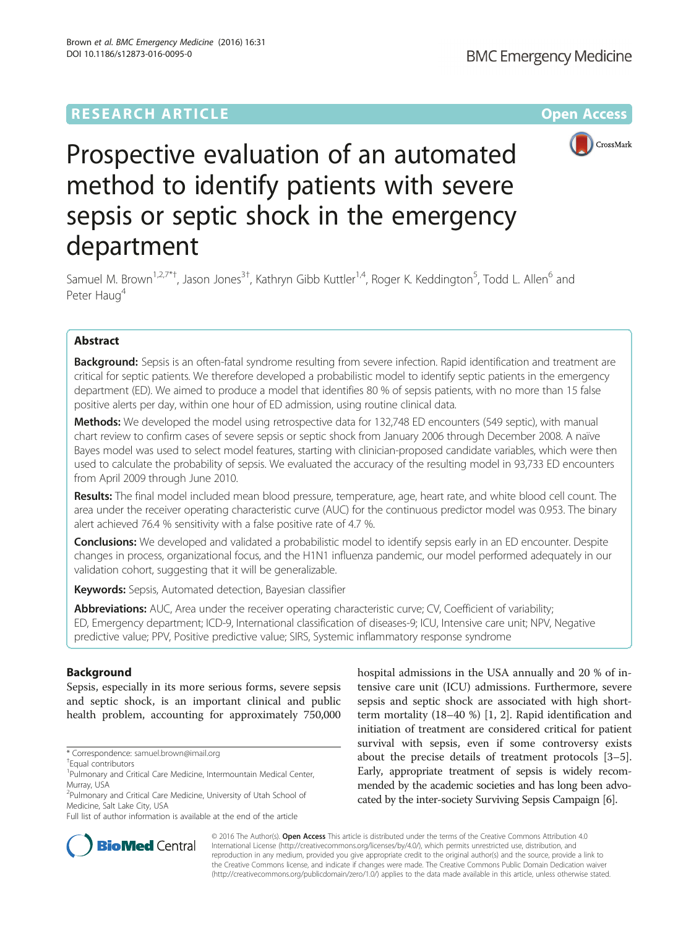# **RESEARCH ARTICLE Example 2014 12:30 The Company Access** (RESEARCH ARTICLE



# Prospective evaluation of an automated method to identify patients with severe sepsis or septic shock in the emergency department

Samuel M. Brown<sup>1,2,7\*†</sup>, Jason Jones<sup>3†</sup>, Kathryn Gibb Kuttler<sup>1,4</sup>, Roger K. Keddington<sup>5</sup>, Todd L. Allen<sup>6</sup> and Peter Haug<sup>4</sup>

# Abstract

Background: Sepsis is an often-fatal syndrome resulting from severe infection. Rapid identification and treatment are critical for septic patients. We therefore developed a probabilistic model to identify septic patients in the emergency department (ED). We aimed to produce a model that identifies 80 % of sepsis patients, with no more than 15 false positive alerts per day, within one hour of ED admission, using routine clinical data.

Methods: We developed the model using retrospective data for 132,748 ED encounters (549 septic), with manual chart review to confirm cases of severe sepsis or septic shock from January 2006 through December 2008. A naïve Bayes model was used to select model features, starting with clinician-proposed candidate variables, which were then used to calculate the probability of sepsis. We evaluated the accuracy of the resulting model in 93,733 ED encounters from April 2009 through June 2010.

Results: The final model included mean blood pressure, temperature, age, heart rate, and white blood cell count. The area under the receiver operating characteristic curve (AUC) for the continuous predictor model was 0.953. The binary alert achieved 76.4 % sensitivity with a false positive rate of 4.7 %.

Conclusions: We developed and validated a probabilistic model to identify sepsis early in an ED encounter. Despite changes in process, organizational focus, and the H1N1 influenza pandemic, our model performed adequately in our validation cohort, suggesting that it will be generalizable.

Keywords: Sepsis, Automated detection, Bayesian classifier

Abbreviations: AUC, Area under the receiver operating characteristic curve; CV, Coefficient of variability; ED, Emergency department; ICD-9, International classification of diseases-9; ICU, Intensive care unit; NPV, Negative predictive value; PPV, Positive predictive value; SIRS, Systemic inflammatory response syndrome

# Background

Sepsis, especially in its more serious forms, severe sepsis and septic shock, is an important clinical and public health problem, accounting for approximately 750,000

<sup>2</sup>Pulmonary and Critical Care Medicine, University of Utah School of Medicine, Salt Lake City, USA

hospital admissions in the USA annually and 20 % of intensive care unit (ICU) admissions. Furthermore, severe sepsis and septic shock are associated with high shortterm mortality (18–40 %) [\[1](#page-6-0), [2](#page-6-0)]. Rapid identification and initiation of treatment are considered critical for patient survival with sepsis, even if some controversy exists about the precise details of treatment protocols [\[3](#page-6-0)–[5](#page-6-0)]. Early, appropriate treatment of sepsis is widely recommended by the academic societies and has long been advocated by the inter-society Surviving Sepsis Campaign [[6](#page-6-0)].



© 2016 The Author(s). Open Access This article is distributed under the terms of the Creative Commons Attribution 4.0 International License [\(http://creativecommons.org/licenses/by/4.0/](http://creativecommons.org/licenses/by/4.0/)), which permits unrestricted use, distribution, and reproduction in any medium, provided you give appropriate credit to the original author(s) and the source, provide a link to the Creative Commons license, and indicate if changes were made. The Creative Commons Public Domain Dedication waiver [\(http://creativecommons.org/publicdomain/zero/1.0/](http://creativecommons.org/publicdomain/zero/1.0/)) applies to the data made available in this article, unless otherwise stated.

<sup>\*</sup> Correspondence: [samuel.brown@imail.org](mailto:samuel.brown@imail.org) †

Equal contributors

<sup>&</sup>lt;sup>1</sup>Pulmonary and Critical Care Medicine, Intermountain Medical Center, Murray, USA

Full list of author information is available at the end of the article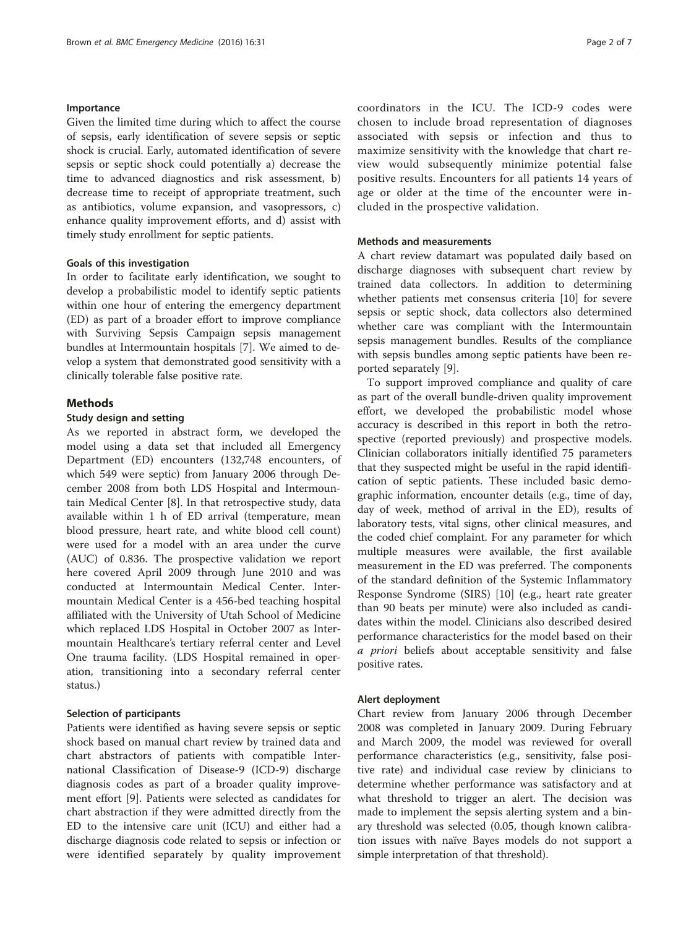### Importance

Given the limited time during which to affect the course of sepsis, early identification of severe sepsis or septic shock is crucial. Early, automated identification of severe sepsis or septic shock could potentially a) decrease the time to advanced diagnostics and risk assessment, b) decrease time to receipt of appropriate treatment, such as antibiotics, volume expansion, and vasopressors, c) enhance quality improvement efforts, and d) assist with timely study enrollment for septic patients.

# Goals of this investigation

In order to facilitate early identification, we sought to develop a probabilistic model to identify septic patients within one hour of entering the emergency department (ED) as part of a broader effort to improve compliance with Surviving Sepsis Campaign sepsis management bundles at Intermountain hospitals [\[7](#page-6-0)]. We aimed to develop a system that demonstrated good sensitivity with a clinically tolerable false positive rate.

# Methods

#### Study design and setting

As we reported in abstract form, we developed the model using a data set that included all Emergency Department (ED) encounters (132,748 encounters, of which 549 were septic) from January 2006 through December 2008 from both LDS Hospital and Intermountain Medical Center [[8](#page-6-0)]. In that retrospective study, data available within 1 h of ED arrival (temperature, mean blood pressure, heart rate, and white blood cell count) were used for a model with an area under the curve (AUC) of 0.836. The prospective validation we report here covered April 2009 through June 2010 and was conducted at Intermountain Medical Center. Intermountain Medical Center is a 456-bed teaching hospital affiliated with the University of Utah School of Medicine which replaced LDS Hospital in October 2007 as Intermountain Healthcare's tertiary referral center and Level One trauma facility. (LDS Hospital remained in operation, transitioning into a secondary referral center status.)

#### Selection of participants

Patients were identified as having severe sepsis or septic shock based on manual chart review by trained data and chart abstractors of patients with compatible International Classification of Disease-9 (ICD-9) discharge diagnosis codes as part of a broader quality improvement effort [[9\]](#page-6-0). Patients were selected as candidates for chart abstraction if they were admitted directly from the ED to the intensive care unit (ICU) and either had a discharge diagnosis code related to sepsis or infection or were identified separately by quality improvement coordinators in the ICU. The ICD-9 codes were chosen to include broad representation of diagnoses associated with sepsis or infection and thus to maximize sensitivity with the knowledge that chart review would subsequently minimize potential false positive results. Encounters for all patients 14 years of age or older at the time of the encounter were included in the prospective validation.

## Methods and measurements

A chart review datamart was populated daily based on discharge diagnoses with subsequent chart review by trained data collectors. In addition to determining whether patients met consensus criteria [\[10](#page-6-0)] for severe sepsis or septic shock, data collectors also determined whether care was compliant with the Intermountain sepsis management bundles. Results of the compliance with sepsis bundles among septic patients have been reported separately [[9\]](#page-6-0).

To support improved compliance and quality of care as part of the overall bundle-driven quality improvement effort, we developed the probabilistic model whose accuracy is described in this report in both the retrospective (reported previously) and prospective models. Clinician collaborators initially identified 75 parameters that they suspected might be useful in the rapid identification of septic patients. These included basic demographic information, encounter details (e.g., time of day, day of week, method of arrival in the ED), results of laboratory tests, vital signs, other clinical measures, and the coded chief complaint. For any parameter for which multiple measures were available, the first available measurement in the ED was preferred. The components of the standard definition of the Systemic Inflammatory Response Syndrome (SIRS) [\[10](#page-6-0)] (e.g., heart rate greater than 90 beats per minute) were also included as candidates within the model. Clinicians also described desired performance characteristics for the model based on their a priori beliefs about acceptable sensitivity and false positive rates.

#### Alert deployment

Chart review from January 2006 through December 2008 was completed in January 2009. During February and March 2009, the model was reviewed for overall performance characteristics (e.g., sensitivity, false positive rate) and individual case review by clinicians to determine whether performance was satisfactory and at what threshold to trigger an alert. The decision was made to implement the sepsis alerting system and a binary threshold was selected (0.05, though known calibration issues with naïve Bayes models do not support a simple interpretation of that threshold).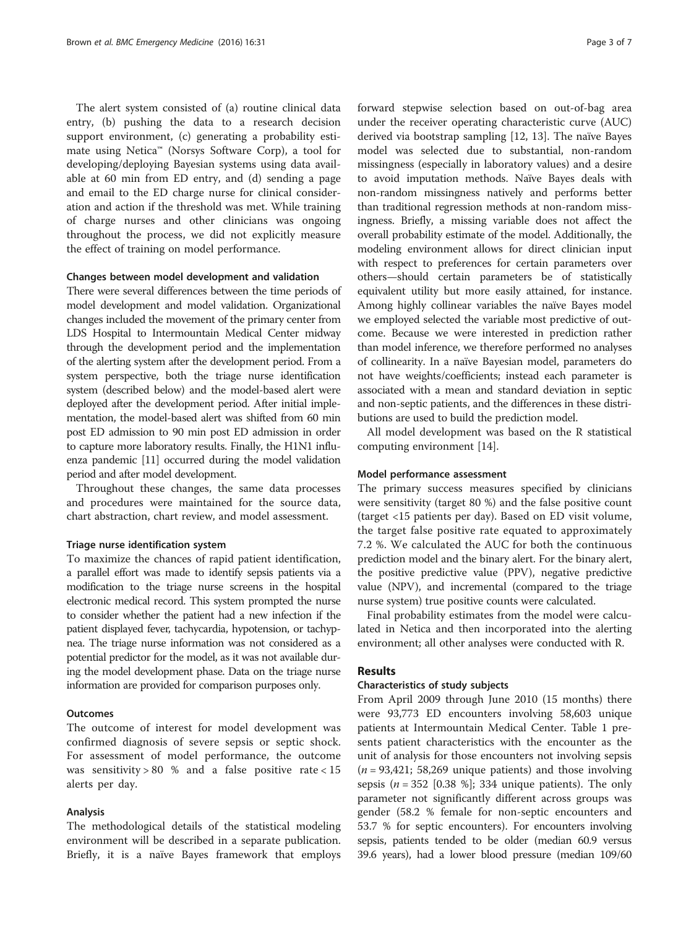The alert system consisted of (a) routine clinical data entry, (b) pushing the data to a research decision support environment, (c) generating a probability estimate using Netica™ (Norsys Software Corp), a tool for developing/deploying Bayesian systems using data available at 60 min from ED entry, and (d) sending a page and email to the ED charge nurse for clinical consideration and action if the threshold was met. While training of charge nurses and other clinicians was ongoing throughout the process, we did not explicitly measure the effect of training on model performance.

#### Changes between model development and validation

There were several differences between the time periods of model development and model validation. Organizational changes included the movement of the primary center from LDS Hospital to Intermountain Medical Center midway through the development period and the implementation of the alerting system after the development period. From a system perspective, both the triage nurse identification system (described below) and the model-based alert were deployed after the development period. After initial implementation, the model-based alert was shifted from 60 min post ED admission to 90 min post ED admission in order to capture more laboratory results. Finally, the H1N1 influenza pandemic [\[11\]](#page-6-0) occurred during the model validation period and after model development.

Throughout these changes, the same data processes and procedures were maintained for the source data, chart abstraction, chart review, and model assessment.

#### Triage nurse identification system

To maximize the chances of rapid patient identification, a parallel effort was made to identify sepsis patients via a modification to the triage nurse screens in the hospital electronic medical record. This system prompted the nurse to consider whether the patient had a new infection if the patient displayed fever, tachycardia, hypotension, or tachypnea. The triage nurse information was not considered as a potential predictor for the model, as it was not available during the model development phase. Data on the triage nurse information are provided for comparison purposes only.

#### **Outcomes**

The outcome of interest for model development was confirmed diagnosis of severe sepsis or septic shock. For assessment of model performance, the outcome was sensitivity > 80 % and a false positive rate <  $15$ alerts per day.

### Analysis

The methodological details of the statistical modeling environment will be described in a separate publication. Briefly, it is a naïve Bayes framework that employs forward stepwise selection based on out-of-bag area under the receiver operating characteristic curve (AUC) derived via bootstrap sampling [\[12, 13](#page-6-0)]. The naïve Bayes model was selected due to substantial, non-random missingness (especially in laboratory values) and a desire to avoid imputation methods. Naïve Bayes deals with non-random missingness natively and performs better than traditional regression methods at non-random missingness. Briefly, a missing variable does not affect the overall probability estimate of the model. Additionally, the modeling environment allows for direct clinician input with respect to preferences for certain parameters over others—should certain parameters be of statistically equivalent utility but more easily attained, for instance. Among highly collinear variables the naïve Bayes model we employed selected the variable most predictive of outcome. Because we were interested in prediction rather than model inference, we therefore performed no analyses of collinearity. In a naïve Bayesian model, parameters do not have weights/coefficients; instead each parameter is associated with a mean and standard deviation in septic and non-septic patients, and the differences in these distributions are used to build the prediction model.

All model development was based on the R statistical computing environment [\[14\]](#page-6-0).

#### Model performance assessment

The primary success measures specified by clinicians were sensitivity (target 80 %) and the false positive count (target <15 patients per day). Based on ED visit volume, the target false positive rate equated to approximately 7.2 %. We calculated the AUC for both the continuous prediction model and the binary alert. For the binary alert, the positive predictive value (PPV), negative predictive value (NPV), and incremental (compared to the triage nurse system) true positive counts were calculated.

Final probability estimates from the model were calculated in Netica and then incorporated into the alerting environment; all other analyses were conducted with R.

# Results

# Characteristics of study subjects

From April 2009 through June 2010 (15 months) there were 93,773 ED encounters involving 58,603 unique patients at Intermountain Medical Center. Table [1](#page-3-0) presents patient characteristics with the encounter as the unit of analysis for those encounters not involving sepsis  $(n = 93,421; 58,269)$  unique patients) and those involving sepsis ( $n = 352$  [0.38 %]; 334 unique patients). The only parameter not significantly different across groups was gender (58.2 % female for non-septic encounters and 53.7 % for septic encounters). For encounters involving sepsis, patients tended to be older (median 60.9 versus 39.6 years), had a lower blood pressure (median 109/60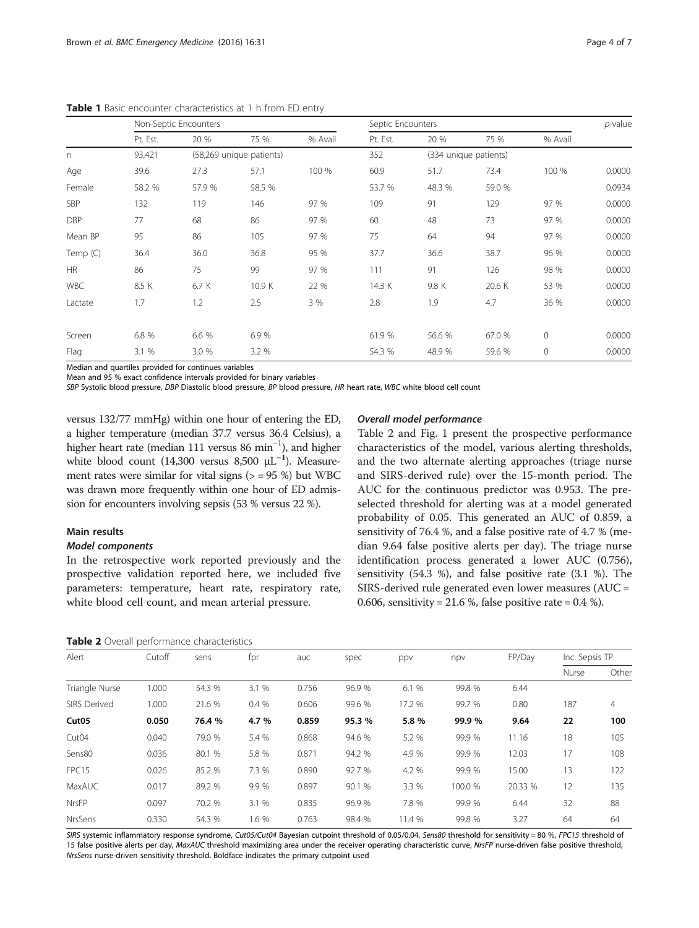|            |          | Non-Septic Encounters |                          |         | Septic Encounters | $p$ -value            |        |              |        |
|------------|----------|-----------------------|--------------------------|---------|-------------------|-----------------------|--------|--------------|--------|
|            | Pt. Est. | 20 %                  | 75 %                     | % Avail | Pt. Est.          | 20 %                  | 75 %   | % Avail      |        |
| n.         | 93,421   |                       | (58,269 unique patients) |         | 352               | (334 unique patients) |        |              |        |
| Age        | 39.6     | 27.3                  | 57.1                     | 100 %   | 60.9              | 51.7                  | 73.4   | 100 %        | 0.0000 |
| Female     | 58.2 %   | 57.9 %                | 58.5 %                   |         | 53.7 %            | 48.3 %                | 59.0 % |              | 0.0934 |
| SBP        | 132      | 119                   | 146                      | 97 %    | 109               | 91                    | 129    | 97 %         | 0.0000 |
| DBP        | 77       | 68                    | 86                       | 97 %    | 60                | 48                    | 73     | 97 %         | 0.0000 |
| Mean BP    | 95       | 86                    | 105                      | 97 %    | 75                | 64                    | 94     | 97 %         | 0.0000 |
| Temp $(C)$ | 36.4     | 36.0                  | 36.8                     | 95 %    | 37.7              | 36.6                  | 38.7   | 96 %         | 0.0000 |
| <b>HR</b>  | 86       | 75                    | 99                       | 97 %    | 111               | 91                    | 126    | 98 %         | 0.0000 |
| <b>WBC</b> | 8.5 K    | 6.7 K                 | 10.9 K                   | 22 %    | 14.3 K            | 9.8 K                 | 20.6 K | 53 %         | 0.0000 |
| Lactate    | 1.7      | 1.2                   | 2.5                      | 3 %     | 2.8               | 1.9                   | 4.7    | 36 %         | 0.0000 |
|            |          |                       |                          |         |                   |                       |        |              |        |
| Screen     | 6.8 %    | 6.6 %                 | 6.9%                     |         | 61.9 %            | 56.6 %                | 67.0 % | $\mathbf{0}$ | 0.0000 |
| Flag       | 3.1%     | 3.0 %                 | 3.2 %                    |         | 54.3 %            | 48.9 %                | 59.6 % | $\mathbf{0}$ | 0.0000 |

<span id="page-3-0"></span>Table 1 Basic encounter characteristics at 1 h from ED entry

Median and quartiles provided for continues variables

Mean and 95 % exact confidence intervals provided for binary variables

SBP Systolic blood pressure, DBP Diastolic blood pressure, BP blood pressure, HR heart rate, WBC white blood cell count

versus 132/77 mmHg) within one hour of entering the ED, a higher temperature (median 37.7 versus 36.4 Celsius), a higher heart rate (median 111 versus 86 min<sup>-1</sup>), and higher white blood count (14,300 versus 8,500 μL<sup>-1</sup>). Measurement rates were similar for vital signs  $(>= 95\%)$  but WBC was drawn more frequently within one hour of ED admission for encounters involving sepsis (53 % versus 22 %).

# Main results

#### Model components

In the retrospective work reported previously and the prospective validation reported here, we included five parameters: temperature, heart rate, respiratory rate, white blood cell count, and mean arterial pressure.

Table 2 Overall performance characteristics

## Overall model performance

Table 2 and Fig. [1](#page-4-0) present the prospective performance characteristics of the model, various alerting thresholds, and the two alternate alerting approaches (triage nurse and SIRS-derived rule) over the 15-month period. The AUC for the continuous predictor was 0.953. The preselected threshold for alerting was at a model generated probability of 0.05. This generated an AUC of 0.859, a sensitivity of 76.4 %, and a false positive rate of 4.7 % (median 9.64 false positive alerts per day). The triage nurse identification process generated a lower AUC (0.756), sensitivity (54.3 %), and false positive rate (3.1 %). The SIRS-derived rule generated even lower measures (AUC = 0.606, sensitivity = 21.6 %, false positive rate =  $0.4$  %).

| Alert             | Cutoff | sens   | fpr   | auc   | spec   | ppv    | npv     | FP/Day  | Inc. Sepsis TP |                |
|-------------------|--------|--------|-------|-------|--------|--------|---------|---------|----------------|----------------|
|                   |        |        |       |       |        |        |         |         | Nurse          | Other          |
| Triangle Nurse    | 1.000  | 54.3 % | 3.1 % | 0.756 | 96.9%  | 6.1 %  | 99.8 %  | 6.44    |                |                |
| SIRS Derived      | 1.000  | 21.6 % | 0.4%  | 0.606 | 99.6 % | 17.2 % | 99.7 %  | 0.80    | 187            | $\overline{4}$ |
| Cut <sub>05</sub> | 0.050  | 76.4 % | 4.7 % | 0.859 | 95.3 % | 5.8 %  | 99.9 %  | 9.64    | 22             | 100            |
| Cut04             | 0.040  | 79.0 % | 5.4 % | 0.868 | 94.6 % | 5.2 %  | 99.9 %  | 11.16   | 18             | 105            |
| Sens80            | 0.036  | 80.1 % | 5.8 % | 0.871 | 94.2 % | 4.9 %  | 99.9 %  | 12.03   | 17             | 108            |
| FPC15             | 0.026  | 85.2 % | 7.3 % | 0.890 | 92.7 % | 4.2 %  | 99.9 %  | 15.00   | 13             | 122            |
| MaxAUC            | 0.017  | 89.2 % | 9.9%  | 0.897 | 90.1 % | 3.3 %  | 100.0 % | 20.33 % | 12             | 135            |
| <b>NrsFP</b>      | 0.097  | 70.2 % | 3.1 % | 0.835 | 96.9%  | 7.8 %  | 99.9 %  | 6.44    | 32             | 88             |
| <b>NrsSens</b>    | 0.330  | 54.3 % | 1.6 % | 0.763 | 98.4 % | 11.4 % | 99.8 %  | 3.27    | 64             | 64             |

SIRS systemic inflammatory response syndrome, Cut05/Cut04 Bayesian cutpoint threshold of 0.05/0.04, Sens80 threshold for sensitivity = 80 %, FPC15 threshold of 15 false positive alerts per day, MaxAUC threshold maximizing area under the receiver operating characteristic curve, NrsFP nurse-driven false positive threshold, NrsSens nurse-driven sensitivity threshold. Boldface indicates the primary cutpoint used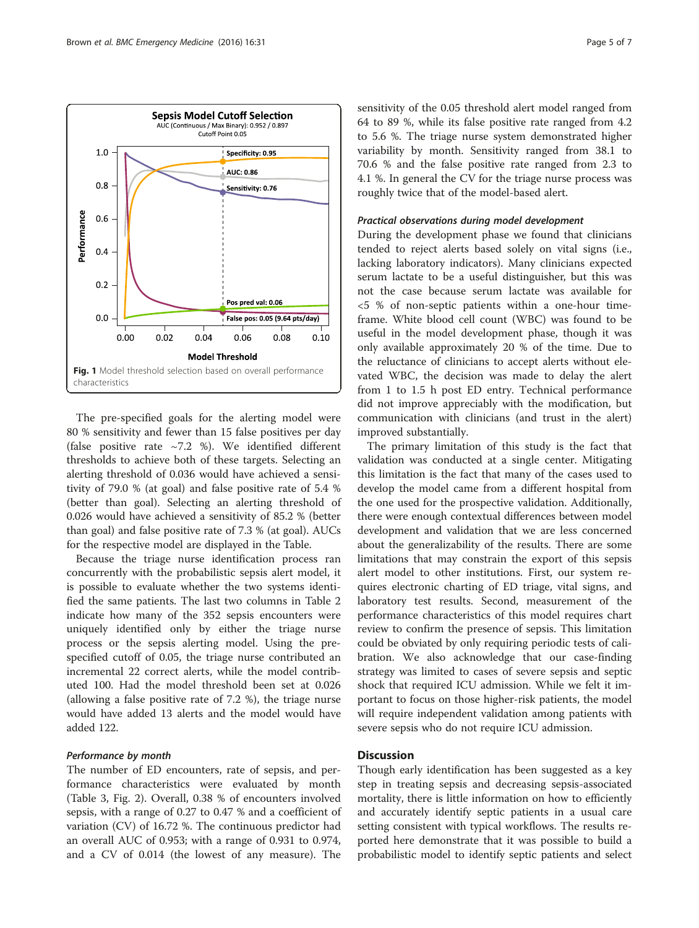

<span id="page-4-0"></span>

The pre-specified goals for the alerting model were 80 % sensitivity and fewer than 15 false positives per day (false positive rate  $\sim$  7.2 %). We identified different thresholds to achieve both of these targets. Selecting an alerting threshold of 0.036 would have achieved a sensitivity of 79.0 % (at goal) and false positive rate of 5.4 % (better than goal). Selecting an alerting threshold of 0.026 would have achieved a sensitivity of 85.2 % (better than goal) and false positive rate of 7.3 % (at goal). AUCs for the respective model are displayed in the Table.

Because the triage nurse identification process ran concurrently with the probabilistic sepsis alert model, it is possible to evaluate whether the two systems identified the same patients. The last two columns in Table [2](#page-3-0) indicate how many of the 352 sepsis encounters were uniquely identified only by either the triage nurse process or the sepsis alerting model. Using the prespecified cutoff of 0.05, the triage nurse contributed an incremental 22 correct alerts, while the model contributed 100. Had the model threshold been set at 0.026 (allowing a false positive rate of 7.2 %), the triage nurse would have added 13 alerts and the model would have added 122.

# Performance by month

The number of ED encounters, rate of sepsis, and performance characteristics were evaluated by month (Table [3,](#page-5-0) Fig. [2\)](#page-5-0). Overall, 0.38 % of encounters involved sepsis, with a range of 0.27 to 0.47 % and a coefficient of variation (CV) of 16.72 %. The continuous predictor had an overall AUC of 0.953; with a range of 0.931 to 0.974, and a CV of 0.014 (the lowest of any measure). The sensitivity of the 0.05 threshold alert model ranged from 64 to 89 %, while its false positive rate ranged from 4.2 to 5.6 %. The triage nurse system demonstrated higher variability by month. Sensitivity ranged from 38.1 to 70.6 % and the false positive rate ranged from 2.3 to 4.1 %. In general the CV for the triage nurse process was roughly twice that of the model-based alert.

### Practical observations during model development

During the development phase we found that clinicians tended to reject alerts based solely on vital signs (i.e., lacking laboratory indicators). Many clinicians expected serum lactate to be a useful distinguisher, but this was not the case because serum lactate was available for <5 % of non-septic patients within a one-hour timeframe. White blood cell count (WBC) was found to be useful in the model development phase, though it was only available approximately 20 % of the time. Due to the reluctance of clinicians to accept alerts without elevated WBC, the decision was made to delay the alert from 1 to 1.5 h post ED entry. Technical performance did not improve appreciably with the modification, but communication with clinicians (and trust in the alert) improved substantially.

The primary limitation of this study is the fact that validation was conducted at a single center. Mitigating this limitation is the fact that many of the cases used to develop the model came from a different hospital from the one used for the prospective validation. Additionally, there were enough contextual differences between model development and validation that we are less concerned about the generalizability of the results. There are some limitations that may constrain the export of this sepsis alert model to other institutions. First, our system requires electronic charting of ED triage, vital signs, and laboratory test results. Second, measurement of the performance characteristics of this model requires chart review to confirm the presence of sepsis. This limitation could be obviated by only requiring periodic tests of calibration. We also acknowledge that our case-finding strategy was limited to cases of severe sepsis and septic shock that required ICU admission. While we felt it important to focus on those higher-risk patients, the model will require independent validation among patients with severe sepsis who do not require ICU admission.

# **Discussion**

Though early identification has been suggested as a key step in treating sepsis and decreasing sepsis-associated mortality, there is little information on how to efficiently and accurately identify septic patients in a usual care setting consistent with typical workflows. The results reported here demonstrate that it was possible to build a probabilistic model to identify septic patients and select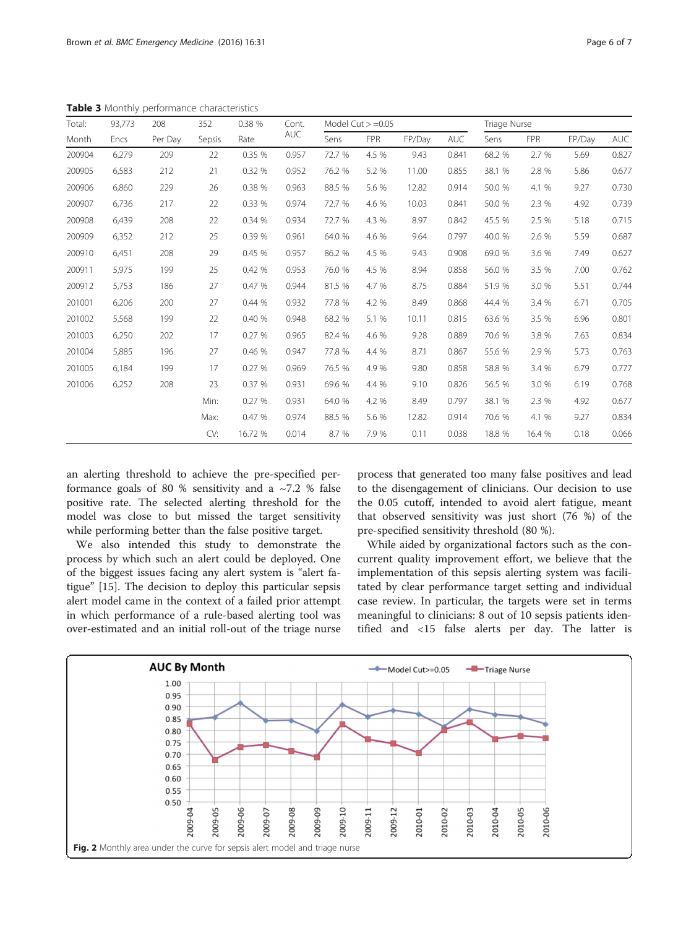| Total:<br>Month | 93,773<br>Encs | 208<br>Per Day | 352<br>Sepsis | 0.38 %<br>Rate | Cont.<br>AUC | Model Cut $> =0.05$ |            |        |            | Triage Nurse |            |        |            |
|-----------------|----------------|----------------|---------------|----------------|--------------|---------------------|------------|--------|------------|--------------|------------|--------|------------|
|                 |                |                |               |                |              | Sens                | <b>FPR</b> | FP/Day | <b>AUC</b> | Sens         | <b>FPR</b> | FP/Dav | <b>AUC</b> |
| 200904          | 6,279          | 209            | 22            | 0.35 %         | 0.957        | 72.7 %              | 4.5 %      | 9.43   | 0.841      | 68.2 %       | 2.7 %      | 5.69   | 0.827      |
| 200905          | 6,583          | 212            | 21            | 0.32 %         | 0.952        | 76.2 %              | 5.2 %      | 11.00  | 0.855      | 38.1 %       | 2.8 %      | 5.86   | 0.677      |
| 200906          | 6,860          | 229            | 26            | 0.38 %         | 0.963        | 88.5 %              | 5.6 %      | 12.82  | 0.914      | 50.0 %       | 4.1 %      | 9.27   | 0.730      |
| 200907          | 6,736          | 217            | 22            | 0.33 %         | 0.974        | 72.7 %              | 4.6 %      | 10.03  | 0.841      | 50.0 %       | 2.3 %      | 4.92   | 0.739      |
| 200908          | 6,439          | 208            | 22            | 0.34 %         | 0.934        | 72.7 %              | 4.3 %      | 8.97   | 0.842      | 45.5 %       | 2.5 %      | 5.18   | 0.715      |
| 200909          | 6,352          | 212            | 25            | 0.39 %         | 0.961        | 64.0 %              | 4.6 %      | 9.64   | 0.797      | 40.0 %       | 2.6 %      | 5.59   | 0.687      |
| 200910          | 6,451          | 208            | 29            | 0.45 %         | 0.957        | 86.2 %              | 4.5 %      | 9.43   | 0.908      | 69.0 %       | 3.6 %      | 7.49   | 0.627      |
| 200911          | 5,975          | 199            | 25            | 0.42%          | 0.953        | 76.0 %              | 4.5 %      | 8.94   | 0.858      | 56.0 %       | 3.5 %      | 7.00   | 0.762      |
| 200912          | 5,753          | 186            | 27            | 0.47 %         | 0.944        | 81.5 %              | 4.7 %      | 8.75   | 0.884      | 51.9 %       | 3.0 %      | 5.51   | 0.744      |
| 201001          | 6,206          | 200            | 27            | 0.44%          | 0.932        | 77.8 %              | 4.2 %      | 8.49   | 0.868      | 44.4 %       | 3.4 %      | 6.71   | 0.705      |
| 201002          | 5,568          | 199            | 22            | 0.40 %         | 0.948        | 68.2 %              | 5.1 %      | 10.11  | 0.815      | 63.6 %       | 3.5 %      | 6.96   | 0.801      |
| 201003          | 6,250          | 202            | 17            | 0.27%          | 0.965        | 82.4 %              | 4.6 %      | 9.28   | 0.889      | 70.6 %       | 3.8 %      | 7.63   | 0.834      |
| 201004          | 5,885          | 196            | 27            | 0.46 %         | 0.947        | 77.8 %              | 4.4 %      | 8.71   | 0.867      | 55.6 %       | 2.9 %      | 5.73   | 0.763      |
| 201005          | 6,184          | 199            | 17            | 0.27%          | 0.969        | 76.5 %              | 4.9 %      | 9.80   | 0.858      | 58.8 %       | 3.4 %      | 6.79   | 0.777      |
| 201006          | 6,252          | 208            | 23            | 0.37 %         | 0.931        | 69.6 %              | 4.4 %      | 9.10   | 0.826      | 56.5 %       | 3.0 %      | 6.19   | 0.768      |
|                 |                |                | Min:          | 0.27%          | 0.931        | 64.0 %              | 4.2 %      | 8.49   | 0.797      | 38.1 %       | 2.3 %      | 4.92   | 0.677      |
|                 |                |                | Max:          | 0.47 %         | 0.974        | 88.5 %              | 5.6 %      | 12.82  | 0.914      | 70.6 %       | 4.1 %      | 9.27   | 0.834      |
|                 |                |                | CV:           | 16.72 %        | 0.014        | 8.7 %               | 7.9 %      | 0.11   | 0.038      | 18.8 %       | 16.4 %     | 0.18   | 0.066      |

<span id="page-5-0"></span>Table 3 Monthly performance characteristics

an alerting threshold to achieve the pre-specified performance goals of 80 % sensitivity and a  $\sim$ 7.2 % false positive rate. The selected alerting threshold for the model was close to but missed the target sensitivity while performing better than the false positive target.

We also intended this study to demonstrate the process by which such an alert could be deployed. One of the biggest issues facing any alert system is "alert fatigue" [\[15](#page-6-0)]. The decision to deploy this particular sepsis alert model came in the context of a failed prior attempt in which performance of a rule-based alerting tool was over-estimated and an initial roll-out of the triage nurse process that generated too many false positives and lead to the disengagement of clinicians. Our decision to use the 0.05 cutoff, intended to avoid alert fatigue, meant that observed sensitivity was just short (76 %) of the pre-specified sensitivity threshold (80 %).

While aided by organizational factors such as the concurrent quality improvement effort, we believe that the implementation of this sepsis alerting system was facilitated by clear performance target setting and individual case review. In particular, the targets were set in terms meaningful to clinicians: 8 out of 10 sepsis patients identified and <15 false alerts per day. The latter is